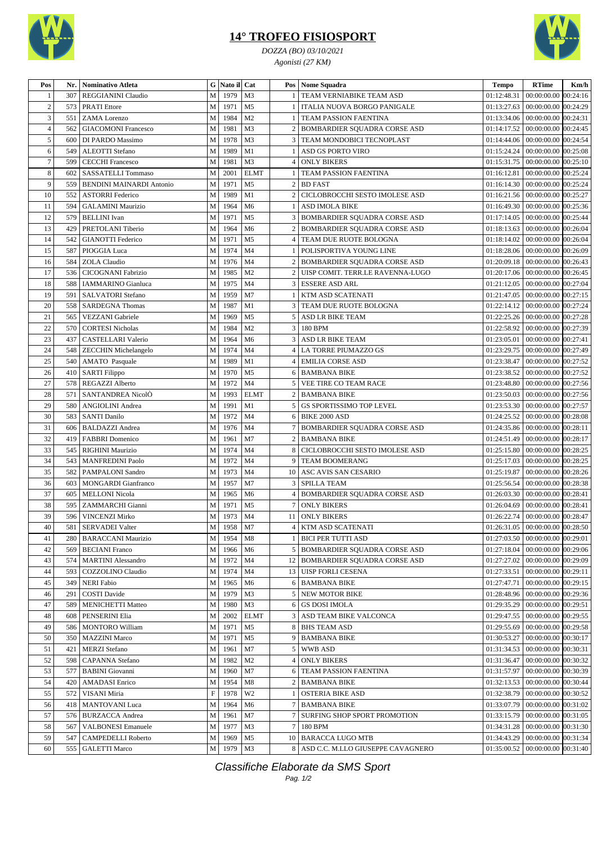

## **14° TROFEO FISIOSPORT**

*DOZZA (BO) 03/10/2021 Agonisti (27 KM)*



| Pos            | Nr. | <b>Nominativo Atleta</b>                         | G                         | Nato il      | Cat                              | Pos            | Nome Squadra                                                            | <b>Tempo</b> | <b>RTime</b>                           | Km/h     |
|----------------|-----|--------------------------------------------------|---------------------------|--------------|----------------------------------|----------------|-------------------------------------------------------------------------|--------------|----------------------------------------|----------|
|                | 307 | REGGIANINI Claudio                               | M                         | 1979         | M <sub>3</sub>                   |                | TEAM VERNIABIKE TEAM ASD                                                | 01:12:48.31  | 00:00:00.00                            | 00:24:16 |
| $\sqrt{2}$     | 573 | <b>PRATI</b> Ettore                              | M                         | 1971         | M <sub>5</sub>                   |                | ITALIA NUOVA BORGO PANIGALE                                             | 01:13:27.63  | 00:00:00.00 00:24:29                   |          |
| 3              | 551 | ZAMA Lorenzo                                     | M                         | 1984         | M <sub>2</sub>                   |                | TEAM PASSION FAENTINA                                                   | 01:13:34.06  | $00:00:00.00$ $00:24:31$               |          |
| $\overline{4}$ | 562 | <b>GIACOMONI Francesco</b>                       | M                         | 1981         | M <sub>3</sub>                   | 2              | <b>BOMBARDIER SQUADRA CORSE ASD</b>                                     | 01:14:17.52  | 00:00:00.00 00:24:45                   |          |
| 5              | 600 | DI PARDO Massimo                                 | M                         | 1978         | M <sub>3</sub>                   | 3              | TEAM MONDOBICI TECNOPLAST                                               | 01:14:44.06  | 00:00:00.00 00:24:54                   |          |
| 6              | 549 | <b>ALEOTTI</b> Stefano                           | M                         | 1989         | M1                               |                | <b>ASD GS PORTO VIRO</b>                                                | 01:15:24.24  | 00:00:00.00 00:25:08                   |          |
| $\tau$         | 599 | <b>CECCHI</b> Francesco                          | M                         | 1981         | M <sub>3</sub>                   | 4              | <b>ONLY BIKERS</b>                                                      | 01:15:31.75  | 00:00:00.00 00:25:10                   |          |
| 8              | 602 | SASSATELLI Tommaso                               | M                         | 2001         | <b>ELMT</b>                      |                | TEAM PASSION FAENTINA                                                   | 01:16:12.81  | 00:00:00.00 00:25:24                   |          |
| 9              | 559 | <b>BENDINI MAINARDI Antonio</b>                  | M                         | 1971         | M <sub>5</sub>                   | $\overline{2}$ | <b>BD FAST</b>                                                          | 01:16:14.30  | 00:00:00.00 00:25:24                   |          |
| 10             | 552 | <b>ASTORRI Federico</b>                          | M                         | 1989         | M1                               | $\overline{c}$ | CICLOBROCCHI SESTO IMOLESE ASD                                          |              | 01:16:21.56 00:00:00.00 00:25:27       |          |
| 11             | 594 | <b>GALAMINI Maurizio</b>                         | M                         | 1964         | M <sub>6</sub>                   |                | <b>ASD IMOLA BIKE</b>                                                   | 01:16:49.30  | 00:00:00.00                            | 00:25:36 |
| 12             | 579 | <b>BELLINI</b> Ivan                              | M                         | 1971         | M <sub>5</sub>                   | 3              |                                                                         | 01:17:14.05  | 00:00:00.00                            | 00:25:44 |
| 13             | 429 |                                                  |                           | 1964         | M <sub>6</sub>                   |                | <b>BOMBARDIER SQUADRA CORSE ASD</b>                                     | 01:18:13.63  | 00:00:00.00 00:26:04                   |          |
| 14             | 542 | PRETOLANI Tiberio<br><b>GIANOTTI</b> Federico    | M<br>M                    | 1971         | M <sub>5</sub>                   | 2              | <b>BOMBARDIER SQUADRA CORSE ASD</b>                                     | 01:18:14.02  | 00:00:00.00                            | 00:26:04 |
|                |     |                                                  |                           |              |                                  | $\overline{4}$ | TEAM DUE RUOTE BOLOGNA                                                  |              |                                        |          |
| 15             | 587 | PIOGGIA Luca                                     | M                         | 1974         | M <sub>4</sub>                   |                | POLISPORTIVA YOUNG LINE                                                 | 01:18:28.06  | 00:00:00.00 00:26:09                   |          |
| 16<br>17       | 584 | <b>ZOLA</b> Claudio<br><b>CICOGNANI Fabrizio</b> | M                         | 1976<br>1985 | M <sub>4</sub><br>M <sub>2</sub> | 2              | <b>BOMBARDIER SQUADRA CORSE ASD</b><br>UISP COMIT. TERR.LE RAVENNA-LUGO | 01:20:17.06  | 01:20:09.18   00:00:00.00   00:26:43   |          |
|                | 536 |                                                  | M                         |              |                                  | 2              |                                                                         |              | 00:00:00.00 00:26:45                   |          |
| 18             | 588 | <b>IAMMARINO</b> Gianluca                        | M                         | 1975         | M <sub>4</sub>                   | 3              | <b>ESSERE ASD ARL</b>                                                   | 01:21:12.05  | 00:00:00.00 00:27:04                   |          |
| 19             | 591 | <b>SALVATORI</b> Stefano                         | M                         | 1959         | M <sub>7</sub>                   |                | KTM ASD SCATENATI                                                       | 01:21:47.05  | 00:00:00.00 00:27:15                   |          |
| 20             | 558 | <b>SARDEGNA Thomas</b>                           | M                         | 1987         | M1                               | 3              | TEAM DUE RUOTE BOLOGNA                                                  | 01:22:14.12  | 00:00:00.00                            | 00:27:24 |
| 21             | 565 | <b>VEZZANI</b> Gabriele                          | M                         | 1969         | M <sub>5</sub>                   | 5              | ASD LR BIKE TEAM                                                        | 01:22:25.26  | 00:00:00.00 00:27:28                   |          |
| 22             | 570 | <b>CORTESI Nicholas</b>                          | M                         | 1984         | M <sub>2</sub>                   | 3              | 180 BPM                                                                 | 01:22:58.92  | 00:00:00.00 00:27:39                   |          |
| 23             | 437 | CASTELLARI Valerio                               | M                         | 1964         | M <sub>6</sub>                   | 3              | <b>ASD LR BIKE TEAM</b>                                                 | 01:23:05.01  | 00:00:00.00 00:27:41                   |          |
| 24             | 548 | <b>ZECCHIN Michelangelo</b>                      | M                         | 1974         | M <sub>4</sub>                   | 4              | <b>LA TORRE PIUMAZZO GS</b>                                             | 01:23:29.75  | 00:00:00.00 00:27:49                   |          |
| 25             | 540 | <b>AMATO</b> Pasquale                            | M                         | 1989         | M1                               | 4              | <b>EMILIA CORSE ASD</b>                                                 | 01:23:38.47  | 00:00:00.00 00:27:52                   |          |
| 26             | 410 | <b>SARTI Filippo</b>                             | M                         | 1970         | M <sub>5</sub>                   | 6              | <b>BAMBANA BIKE</b>                                                     | 01:23:38.52  | 00:00:00.00 00:27:52                   |          |
| 27             | 578 | REGAZZI Alberto                                  | M                         | 1972         | M <sub>4</sub>                   | 5              | VEE TIRE CO TEAM RACE                                                   | 01:23:48.80  | 00:00:00.00 00:27:56                   |          |
| 28             | 571 | SANTANDREA NicolÒ                                | M                         | 1993         | <b>ELMT</b>                      | $\overline{c}$ | <b>BAMBANA BIKE</b>                                                     | 01:23:50.03  | 00:00:00.00 00:27:56                   |          |
| 29             | 580 | ANGIOLINI Andrea                                 | M                         | 1991         | M1                               | 5              | <b>GS SPORTISSIMO TOP LEVEL</b>                                         | 01:23:53.30  | 00:00:00.00 00:27:57                   |          |
| 30             | 583 | <b>SANTI Danilo</b>                              | M                         | 1972         | M <sub>4</sub>                   | 6              | <b>BIKE 2000 ASD</b>                                                    | 01:24:25.52  | 00:00:00.00                            | 00:28:08 |
| 31             | 606 | <b>BALDAZZI</b> Andrea                           | M                         | 1976         | M <sub>4</sub>                   |                | BOMBARDIER SQUADRA CORSE ASD                                            | 01:24:35.86  | 00:00:00.00                            | 00:28:11 |
| 32             | 419 | <b>FABBRI</b> Domenico                           | M                         | 1961         | M <sub>7</sub>                   | $\overline{2}$ | <b>BAMBANA BIKE</b>                                                     | 01:24:51.49  | 00:00:00.00 00:28:17                   |          |
| 33             | 545 | RIGHINI Maurizio                                 | M                         | 1974         | M <sub>4</sub>                   | 8              | CICLOBROCCHI SESTO IMOLESE ASD                                          | 01:25:15.80  | 00:00:00.00                            | 00:28:25 |
| 34             | 543 | <b>MANFREDINI Paolo</b>                          | M                         | 1972         | M <sub>4</sub>                   | 9              | TEAM BOOMERANG                                                          | 01:25:17.03  | 00:00:00.00 00:28:25                   |          |
| 35             | 582 | PAMPALONI Sandro                                 | M                         | 1973         | M <sub>4</sub>                   | 10             | ASC AVIS SAN CESARIO                                                    | 01:25:19.87  | 00:00:00.00 00:28:26                   |          |
| 36             | 603 | <b>MONGARDI</b> Gianfranco                       | M                         | 1957         | M <sub>7</sub>                   | 3              | <b>SPILLA TEAM</b>                                                      | 01:25:56.54  | 00:00:00.00                            | 00:28:38 |
| 37             | 605 | <b>MELLONI</b> Nicola                            | M                         | 1965         | M <sub>6</sub>                   | 4              | BOMBARDIER SQUADRA CORSE ASD                                            | 01:26:03.30  | 00:00:00.00                            | 00:28:41 |
| 38             | 595 | ZAMMARCHI Gianni                                 | M                         | 1971         | M <sub>5</sub>                   |                | <b>ONLY BIKERS</b>                                                      | 01:26:04.69  | 00:00:00.00                            | 00:28:41 |
| 39             | 596 | <b>VINCENZI Mirko</b>                            | M                         | 1973         | M <sub>4</sub>                   | 11             | <b>ONLY BIKERS</b>                                                      | 01:26:22.74  | 00:00:00.00 00:28:47                   |          |
| 40             | 581 | SERVADEI Valter                                  | M                         | 1958         | M7                               | 4              | KTM ASD SCATENATI                                                       |              | 01:26:31.05   00:00:00.00   00:28:50   |          |
| 41             | 280 | <b>BARACCANI Maurizio</b>                        | $\mathbf M$               | 1954         | M8                               |                | <b>BICI PER TUTTI ASD</b>                                               |              | 01:27:03.50 00:00:00.00 00:29:01       |          |
| 42             | 569 | <b>BECIANI</b> Franco                            | M                         | 1966         | M <sub>6</sub>                   |                | 5 BOMBARDIER SQUADRA CORSE ASD                                          |              | 01:27:18.04   00:00:00.00   00:29:06   |          |
| 43             | 574 | <b>MARTINI</b> Alessandro                        | M                         | 1972         | M <sub>4</sub>                   |                | 12 BOMBARDIER SOUADRA CORSE ASD                                         |              | $01:27:27.02$ 00:00:00.00 00:29:09     |          |
| 44             | 593 | COZZOLINO Claudio                                | M                         | 1974         | M4                               | 13             | <b>UISP FORLI CESENA</b>                                                | 01:27:33.51  | 00:00:00.00 00:29:11                   |          |
| 45             | 349 | <b>NERI Fabio</b>                                | M                         | 1965         | M6                               | 6              | <b>BAMBANA BIKE</b>                                                     | 01:27:47.71  | 00:00:00.00 00:29:15                   |          |
| 46             | 291 | <b>COSTI Davide</b>                              | M                         | 1979         | M3                               | 5              | NEW MOTOR BIKE                                                          | 01:28:48.96  | 00:00:00.00 00:29:36                   |          |
| 47             | 589 | <b>MENICHETTI Matteo</b>                         | M                         | 1980         | M <sub>3</sub>                   | 6              | <b>GS DOSI IMOLA</b>                                                    |              | $01:29:35.29$   00:00:00.00   00:29:51 |          |
| 48             | 608 | PENSERINI Elia                                   | M                         | 2002         | <b>ELMT</b>                      | 3              | ASD TEAM BIKE VALCONCA                                                  |              | 01:29:47.55   00:00:00.00   00:29:55   |          |
| 49             | 586 | <b>MONTORO</b> William                           | M                         | 1971         | M <sub>5</sub>                   | 8              | <b>BHS TEAM ASD</b>                                                     | 01:29:55.69  | 00:00:00.00 00:29:58                   |          |
| 50             | 350 | <b>MAZZINI Marco</b>                             | M                         | 1971         | M <sub>5</sub>                   | 9              | <b>BAMBANA BIKE</b>                                                     | 01:30:53.27  | 00:00:00.00 00:30:17                   |          |
| 51             | 421 | <b>MERZI</b> Stefano                             | M                         | 1961         | M7                               | 5              | <b>WWB ASD</b>                                                          | 01:31:34.53  | 00:00:00.00 00:30:31                   |          |
| 52             | 598 | <b>CAPANNA</b> Stefano                           | M                         | 1982         | M <sub>2</sub>                   |                | <b>ONLY BIKERS</b>                                                      | 01:31:36.47  | 00:00:00.00 00:30:32                   |          |
| 53             | 577 | <b>BABINI</b> Giovanni                           | M                         | 1960         | M7                               | 6              | TEAM PASSION FAENTINA                                                   |              | 01:31:57.97   00:00:00.00   00:30:39   |          |
| 54             | 420 | <b>AMADASI</b> Enrico                            | M                         | 1954         | M8                               | 2              | <b>BAMBANA BIKE</b>                                                     |              | 01:32:13.53   00:00:00.00   00:30:44   |          |
| 55             | 572 | VISANI Miria                                     | $\boldsymbol{\mathrm{F}}$ | 1978         | W <sub>2</sub>                   |                | <b>OSTERIA BIKE ASD</b>                                                 |              | 01:32:38.79 00:00:00.00 00:30:52       |          |
| 56             | 418 | <b>MANTOVANI</b> Luca                            | M                         | 1964         | M6                               |                | <b>BAMBANA BIKE</b>                                                     | 01:33:07.79  | 00:00:00.00 00:31:02                   |          |
| 57             | 576 | <b>BURZACCA</b> Andrea                           | M                         | 1961         | M7                               |                | SURFING SHOP SPORT PROMOTION                                            | 01:33:15.79  | 00:00:00.00 00:31:05                   |          |
| 58             | 567 | <b>VALBONESI</b> Emanuele                        | M                         | 1977         | M3                               | $\tau$         | 180 BPM                                                                 | 01:34:31.28  | 00:00:00.00 00:31:30                   |          |
| 59             | 547 | <b>CAMPEDELLI Roberto</b>                        | M                         | 1969         | M5                               | 10             | <b>BARACCA LUGO MTB</b>                                                 | 01:34:43.29  | 00:00:00.00 00:31:34                   |          |
| 60             | 555 | <b>GALETTI Marco</b>                             | M                         | 1979         | M <sub>3</sub>                   | 8              | ASD C.C. M.LLO GIUSEPPE CAVAGNERO                                       |              | $01:35:00.52$ 00:00:00.00 00:31:40     |          |

Classifiche Elaborate da SMS Sport